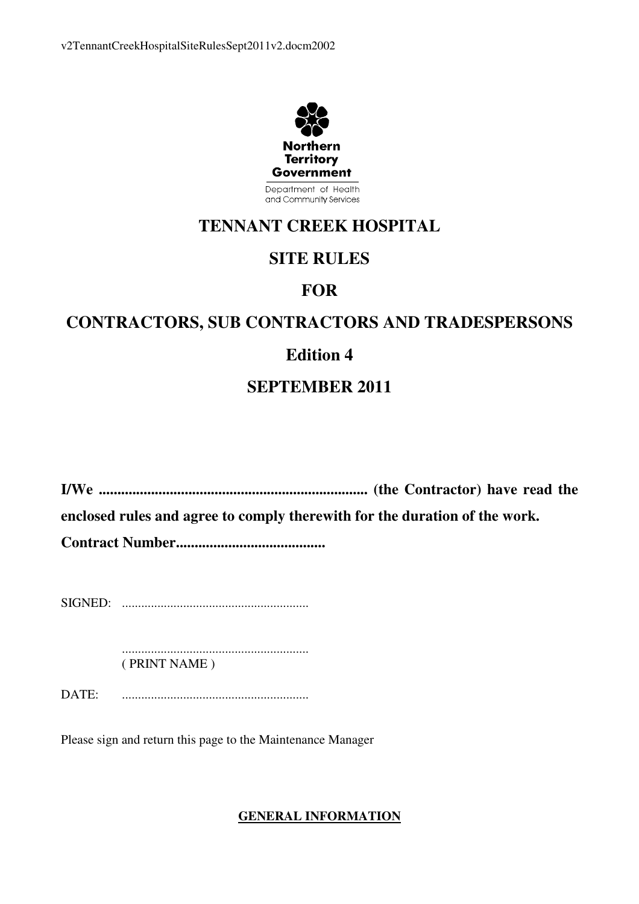

Department of Health and Community Services

# **TENNANT CREEK HOSPITAL**

# **SITE RULES**

# **FOR**

# **CONTRACTORS, SUB CONTRACTORS AND TRADESPERSONS**

# **Edition 4**

# **SEPTEMBER 2011**

**I/We ........................................................................ (the Contractor) have read the enclosed rules and agree to comply therewith for the duration of the work.** 

**Contract Number........................................** 

SIGNED: ..........................................................

 .......................................................... ( PRINT NAME )

DATE: ..........................................................

Please sign and return this page to the Maintenance Manager

# **GENERAL INFORMATION**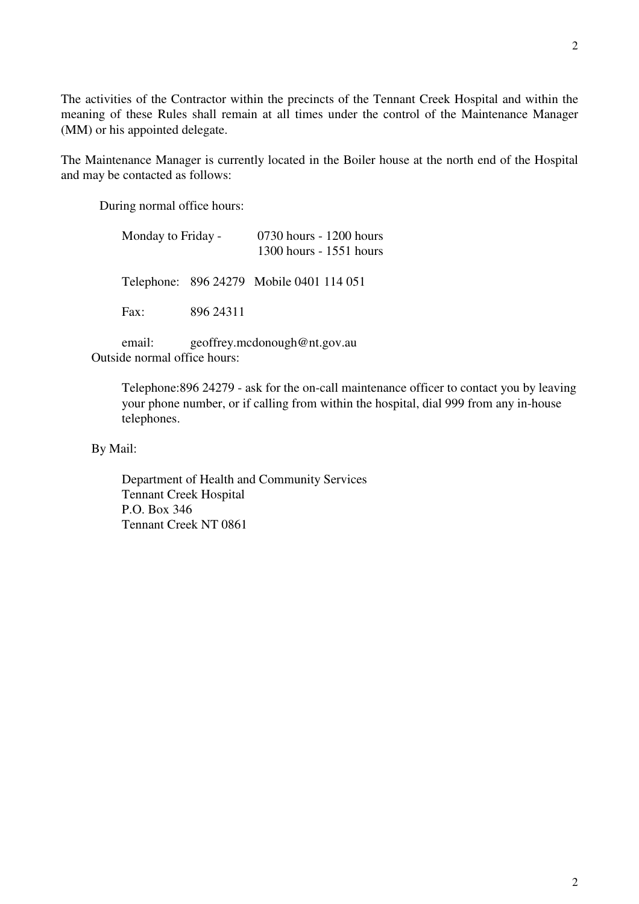The activities of the Contractor within the precincts of the Tennant Creek Hospital and within the meaning of these Rules shall remain at all times under the control of the Maintenance Manager (MM) or his appointed delegate.

The Maintenance Manager is currently located in the Boiler house at the north end of the Hospital and may be contacted as follows:

During normal office hours:

| Monday to Friday - |           | 0730 hours - 1200 hours<br>1300 hours - 1551 hours |
|--------------------|-----------|----------------------------------------------------|
|                    |           |                                                    |
| Fax:               | 896 24311 |                                                    |
|                    |           | Telephone: 896 24279 Mobile 0401 114 051           |

 email: geoffrey.mcdonough@nt.gov.au Outside normal office hours:

> Telephone:896 24279 - ask for the on-call maintenance officer to contact you by leaving your phone number, or if calling from within the hospital, dial 999 from any in-house telephones.

By Mail:

 Department of Health and Community Services Tennant Creek Hospital P.O. Box 346 Tennant Creek NT 0861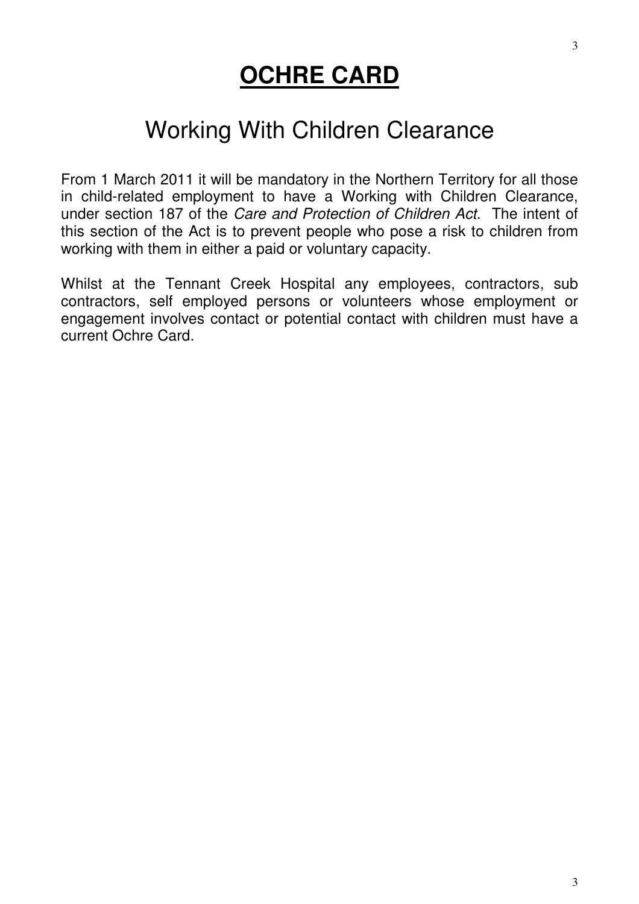# **OCHRE CARD**

# Working With Children Clearance

From 1 March 2011 it will be mandatory in the Northern Territory for all those in child-related employment to have a Working with Children Clearance, under section 187 of the Care and Protection of Children Act. The intent of this section of the Act is to prevent people who pose a risk to children from working with them in either a paid or voluntary capacity.

Whilst at the Tennant Creek Hospital any employees, contractors, sub contractors, self employed persons or volunteers whose employment or engagement involves contact or potential contact with children must have a current Ochre Card.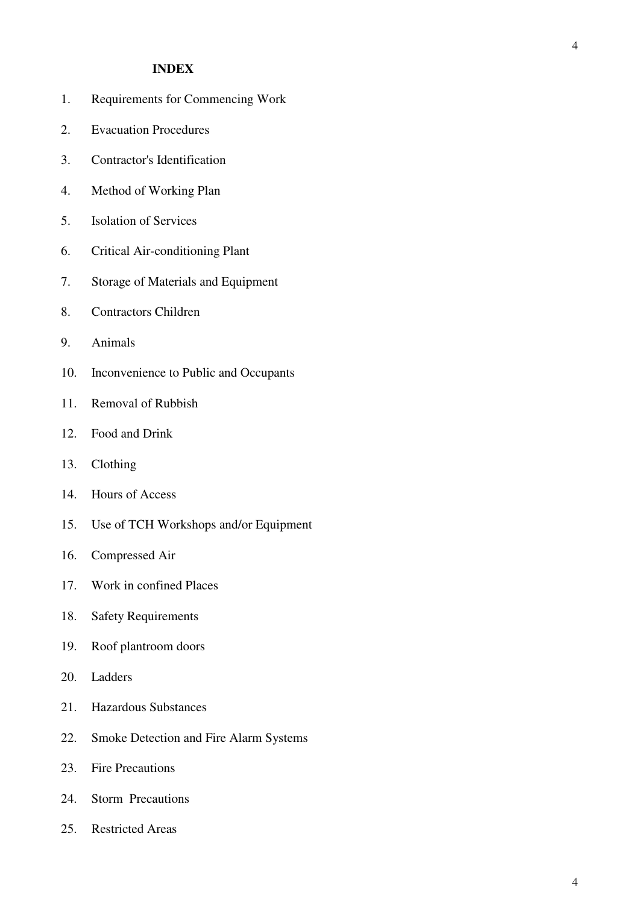#### **INDEX**

- 1. Requirements for Commencing Work
- 2. Evacuation Procedures
- 3. Contractor's Identification
- 4. Method of Working Plan
- 5. Isolation of Services
- 6. Critical Air-conditioning Plant
- 7. Storage of Materials and Equipment
- 8. Contractors Children
- 9. Animals
- 10. Inconvenience to Public and Occupants
- 11. Removal of Rubbish
- 12. Food and Drink
- 13. Clothing
- 14. Hours of Access
- 15. Use of TCH Workshops and/or Equipment
- 16. Compressed Air
- 17. Work in confined Places
- 18. Safety Requirements
- 19. Roof plantroom doors
- 20. Ladders
- 21. Hazardous Substances
- 22. Smoke Detection and Fire Alarm Systems
- 23. Fire Precautions
- 24. Storm Precautions
- 25. Restricted Areas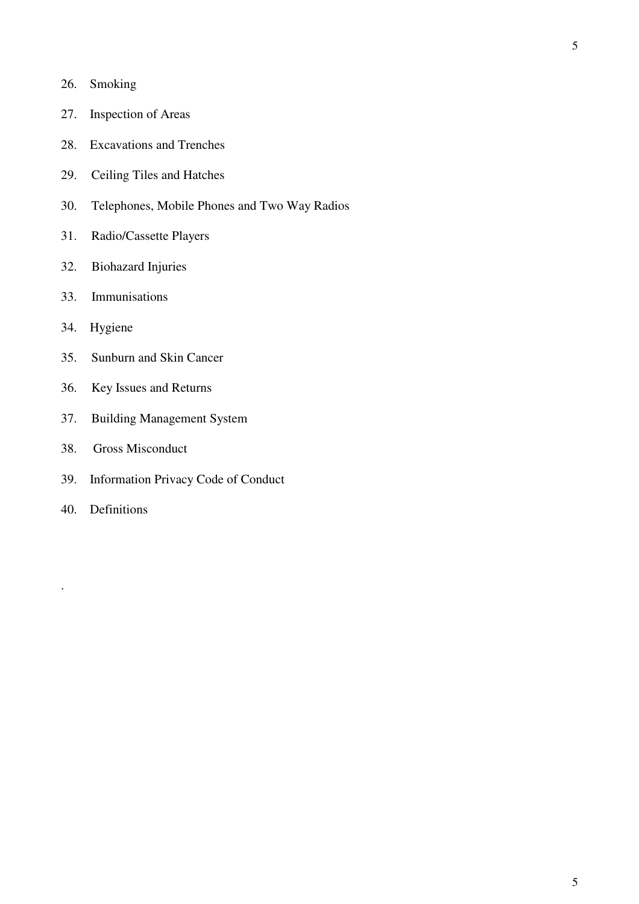- 26. Smoking
- 27. Inspection of Areas
- 28. Excavations and Trenches
- 29. Ceiling Tiles and Hatches
- 30. Telephones, Mobile Phones and Two Way Radios
- 31. Radio/Cassette Players
- 32. Biohazard Injuries
- 33. Immunisations
- 34. Hygiene
- 35. Sunburn and Skin Cancer
- 36. Key Issues and Returns
- 37. Building Management System
- 38. Gross Misconduct
- 39. Information Privacy Code of Conduct
- 40. Definitions

.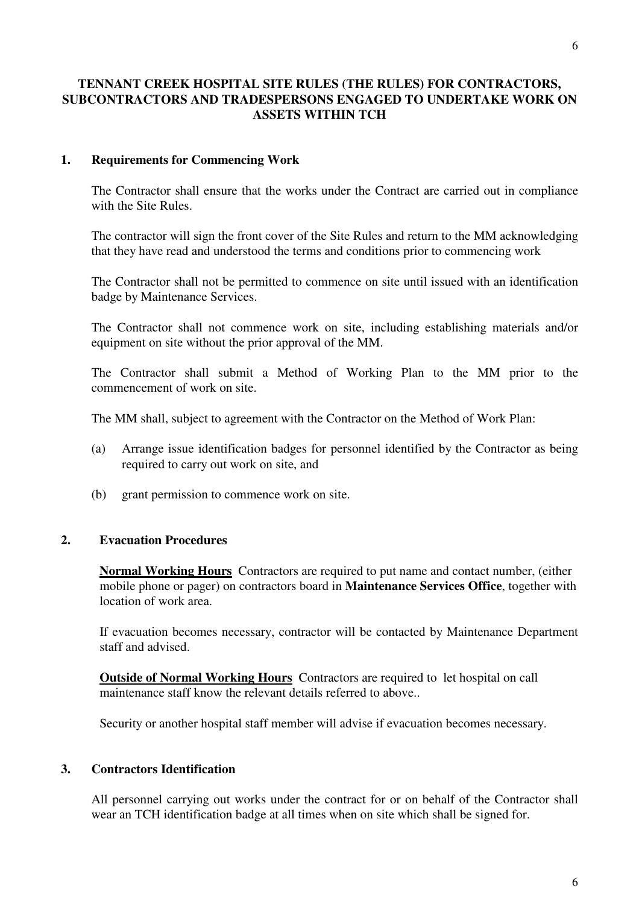## **TENNANT CREEK HOSPITAL SITE RULES (THE RULES) FOR CONTRACTORS, SUBCONTRACTORS AND TRADESPERSONS ENGAGED TO UNDERTAKE WORK ON ASSETS WITHIN TCH**

#### **1. Requirements for Commencing Work**

 The Contractor shall ensure that the works under the Contract are carried out in compliance with the Site Rules.

 The contractor will sign the front cover of the Site Rules and return to the MM acknowledging that they have read and understood the terms and conditions prior to commencing work

 The Contractor shall not be permitted to commence on site until issued with an identification badge by Maintenance Services.

 The Contractor shall not commence work on site, including establishing materials and/or equipment on site without the prior approval of the MM.

 The Contractor shall submit a Method of Working Plan to the MM prior to the commencement of work on site.

The MM shall, subject to agreement with the Contractor on the Method of Work Plan:

- (a) Arrange issue identification badges for personnel identified by the Contractor as being required to carry out work on site, and
- (b) grant permission to commence work on site.

#### **2. Evacuation Procedures**

**Normal Working Hours** Contractors are required to put name and contact number, (either mobile phone or pager) on contractors board in **Maintenance Services Office**, together with location of work area.

If evacuation becomes necessary, contractor will be contacted by Maintenance Department staff and advised.

**Outside of Normal Working Hours** Contractors are required to let hospital on call maintenance staff know the relevant details referred to above..

Security or another hospital staff member will advise if evacuation becomes necessary.

#### **3. Contractors Identification**

 All personnel carrying out works under the contract for or on behalf of the Contractor shall wear an TCH identification badge at all times when on site which shall be signed for.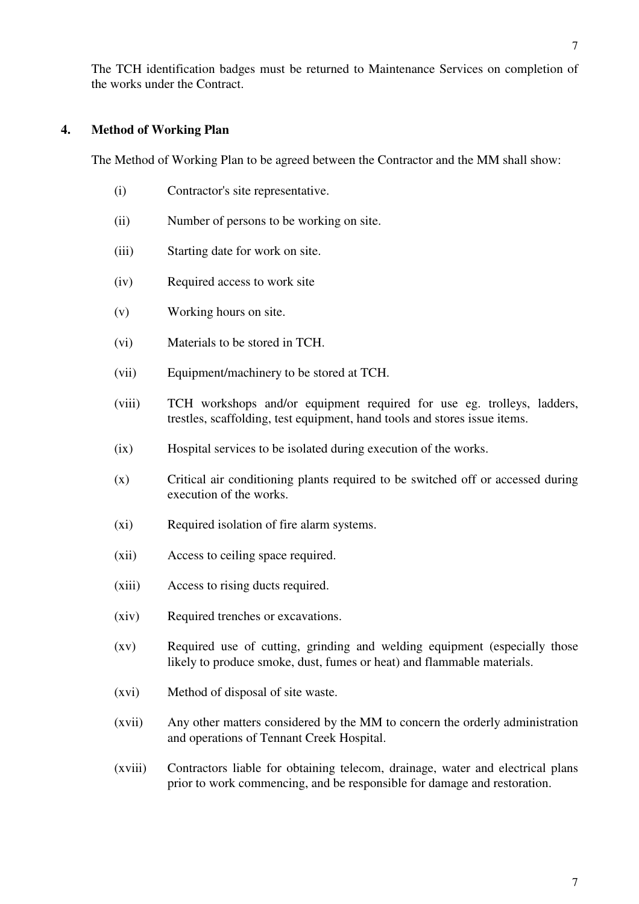The TCH identification badges must be returned to Maintenance Services on completion of the works under the Contract.

# **4. Method of Working Plan**

The Method of Working Plan to be agreed between the Contractor and the MM shall show:

- (i) Contractor's site representative.
- (ii) Number of persons to be working on site.
- (iii) Starting date for work on site.
- (iv) Required access to work site
- (v) Working hours on site.
- (vi) Materials to be stored in TCH.
- (vii) Equipment/machinery to be stored at TCH.
- (viii) TCH workshops and/or equipment required for use eg. trolleys, ladders, trestles, scaffolding, test equipment, hand tools and stores issue items.
- (ix) Hospital services to be isolated during execution of the works.
- (x) Critical air conditioning plants required to be switched off or accessed during execution of the works.
- (xi) Required isolation of fire alarm systems.
- (xii) Access to ceiling space required.
- (xiii) Access to rising ducts required.
- (xiv) Required trenches or excavations.
- (xv) Required use of cutting, grinding and welding equipment (especially those likely to produce smoke, dust, fumes or heat) and flammable materials.
- (xvi) Method of disposal of site waste.
- (xvii) Any other matters considered by the MM to concern the orderly administration and operations of Tennant Creek Hospital.
- (xviii) Contractors liable for obtaining telecom, drainage, water and electrical plans prior to work commencing, and be responsible for damage and restoration.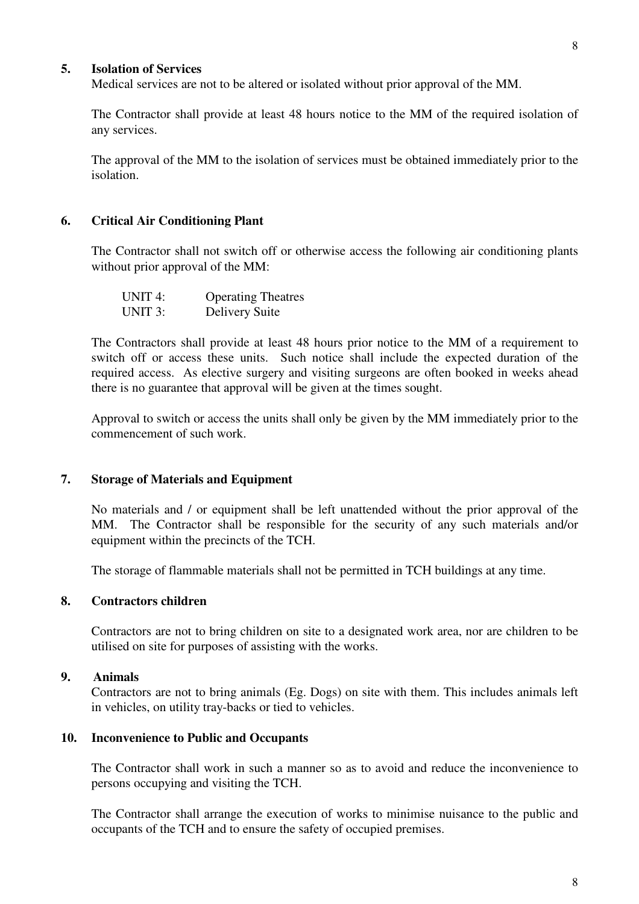#### **5. Isolation of Services**

Medical services are not to be altered or isolated without prior approval of the MM.

 The Contractor shall provide at least 48 hours notice to the MM of the required isolation of any services.

 The approval of the MM to the isolation of services must be obtained immediately prior to the isolation.

### **6. Critical Air Conditioning Plant**

 The Contractor shall not switch off or otherwise access the following air conditioning plants without prior approval of the MM:

| UNIT 4: | <b>Operating Theatres</b> |
|---------|---------------------------|
| UNIT 3: | <b>Delivery Suite</b>     |

 The Contractors shall provide at least 48 hours prior notice to the MM of a requirement to switch off or access these units. Such notice shall include the expected duration of the required access. As elective surgery and visiting surgeons are often booked in weeks ahead there is no guarantee that approval will be given at the times sought.

 Approval to switch or access the units shall only be given by the MM immediately prior to the commencement of such work.

#### **7. Storage of Materials and Equipment**

 No materials and / or equipment shall be left unattended without the prior approval of the MM. The Contractor shall be responsible for the security of any such materials and/or equipment within the precincts of the TCH.

The storage of flammable materials shall not be permitted in TCH buildings at any time.

## **8. Contractors children**

Contractors are not to bring children on site to a designated work area, nor are children to be utilised on site for purposes of assisting with the works.

#### **9. Animals**

Contractors are not to bring animals (Eg. Dogs) on site with them. This includes animals left in vehicles, on utility tray-backs or tied to vehicles.

#### **10. Inconvenience to Public and Occupants**

 The Contractor shall work in such a manner so as to avoid and reduce the inconvenience to persons occupying and visiting the TCH.

 The Contractor shall arrange the execution of works to minimise nuisance to the public and occupants of the TCH and to ensure the safety of occupied premises.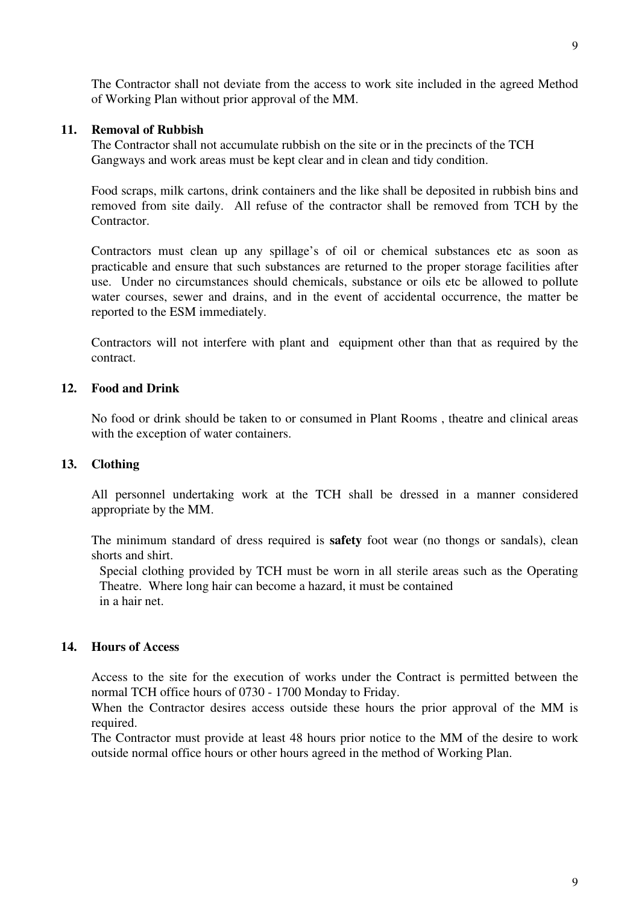The Contractor shall not deviate from the access to work site included in the agreed Method of Working Plan without prior approval of the MM.

#### **11. Removal of Rubbish**

 The Contractor shall not accumulate rubbish on the site or in the precincts of the TCH Gangways and work areas must be kept clear and in clean and tidy condition.

 Food scraps, milk cartons, drink containers and the like shall be deposited in rubbish bins and removed from site daily. All refuse of the contractor shall be removed from TCH by the **Contractor** 

 Contractors must clean up any spillage's of oil or chemical substances etc as soon as practicable and ensure that such substances are returned to the proper storage facilities after use. Under no circumstances should chemicals, substance or oils etc be allowed to pollute water courses, sewer and drains, and in the event of accidental occurrence, the matter be reported to the ESM immediately.

 Contractors will not interfere with plant and equipment other than that as required by the contract.

### **12. Food and Drink**

No food or drink should be taken to or consumed in Plant Rooms , theatre and clinical areas with the exception of water containers.

## **13. Clothing**

 All personnel undertaking work at the TCH shall be dressed in a manner considered appropriate by the MM.

 The minimum standard of dress required is **safety** foot wear (no thongs or sandals), clean shorts and shirt.

Special clothing provided by TCH must be worn in all sterile areas such as the Operating Theatre. Where long hair can become a hazard, it must be contained in a hair net.

#### **14. Hours of Access**

 Access to the site for the execution of works under the Contract is permitted between the normal TCH office hours of 0730 - 1700 Monday to Friday.

 When the Contractor desires access outside these hours the prior approval of the MM is required.

 The Contractor must provide at least 48 hours prior notice to the MM of the desire to work outside normal office hours or other hours agreed in the method of Working Plan.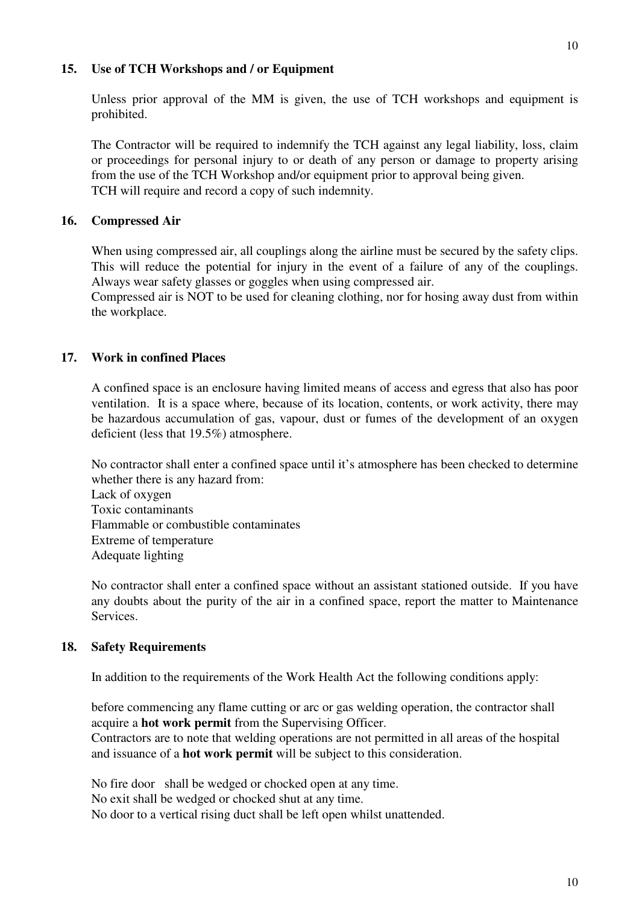### **15. Use of TCH Workshops and / or Equipment**

 Unless prior approval of the MM is given, the use of TCH workshops and equipment is prohibited.

 The Contractor will be required to indemnify the TCH against any legal liability, loss, claim or proceedings for personal injury to or death of any person or damage to property arising from the use of the TCH Workshop and/or equipment prior to approval being given. TCH will require and record a copy of such indemnity.

# **16. Compressed Air**

When using compressed air, all couplings along the airline must be secured by the safety clips. This will reduce the potential for injury in the event of a failure of any of the couplings. Always wear safety glasses or goggles when using compressed air.

 Compressed air is NOT to be used for cleaning clothing, nor for hosing away dust from within the workplace.

# **17. Work in confined Places**

A confined space is an enclosure having limited means of access and egress that also has poor ventilation. It is a space where, because of its location, contents, or work activity, there may be hazardous accumulation of gas, vapour, dust or fumes of the development of an oxygen deficient (less that 19.5%) atmosphere.

 No contractor shall enter a confined space until it's atmosphere has been checked to determine whether there is any hazard from: Lack of oxygen Toxic contaminants Flammable or combustible contaminates Extreme of temperature Adequate lighting

 No contractor shall enter a confined space without an assistant stationed outside. If you have any doubts about the purity of the air in a confined space, report the matter to Maintenance Services.

#### **18. Safety Requirements**

In addition to the requirements of the Work Health Act the following conditions apply:

 before commencing any flame cutting or arc or gas welding operation, the contractor shall acquire a **hot work permit** from the Supervising Officer.

 Contractors are to note that welding operations are not permitted in all areas of the hospital and issuance of a **hot work permit** will be subject to this consideration.

No fire door shall be wedged or chocked open at any time.

No exit shall be wedged or chocked shut at any time.

No door to a vertical rising duct shall be left open whilst unattended.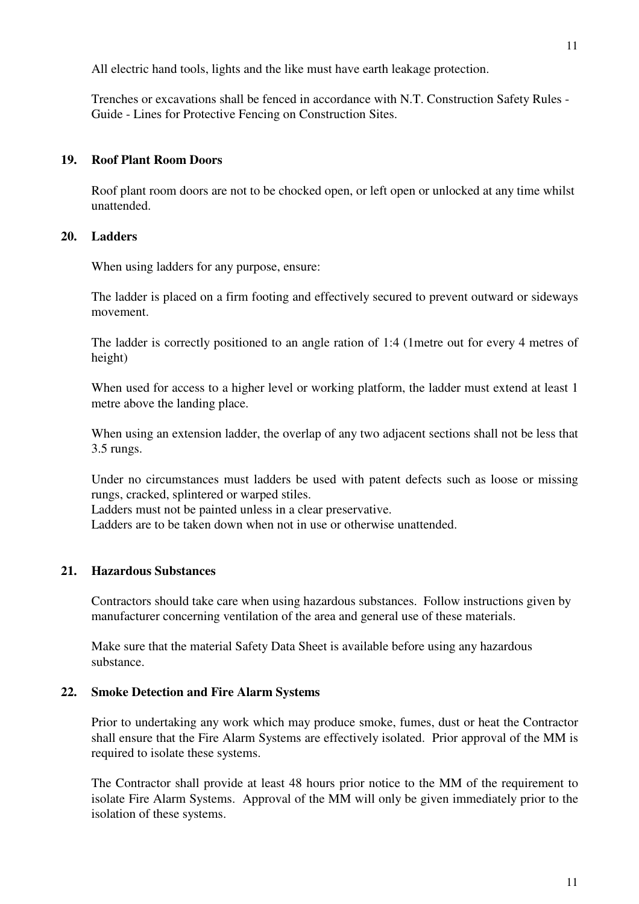All electric hand tools, lights and the like must have earth leakage protection.

 Trenches or excavations shall be fenced in accordance with N.T. Construction Safety Rules - Guide - Lines for Protective Fencing on Construction Sites.

### **19. Roof Plant Room Doors**

Roof plant room doors are not to be chocked open, or left open or unlocked at any time whilst unattended.

### **20. Ladders**

When using ladders for any purpose, ensure:

 The ladder is placed on a firm footing and effectively secured to prevent outward or sideways movement.

 The ladder is correctly positioned to an angle ration of 1:4 (1metre out for every 4 metres of height)

When used for access to a higher level or working platform, the ladder must extend at least 1 metre above the landing place.

 When using an extension ladder, the overlap of any two adjacent sections shall not be less that 3.5 rungs.

 Under no circumstances must ladders be used with patent defects such as loose or missing rungs, cracked, splintered or warped stiles.

Ladders must not be painted unless in a clear preservative.

Ladders are to be taken down when not in use or otherwise unattended.

# **21. Hazardous Substances**

Contractors should take care when using hazardous substances. Follow instructions given by manufacturer concerning ventilation of the area and general use of these materials.

 Make sure that the material Safety Data Sheet is available before using any hazardous substance.

#### **22. Smoke Detection and Fire Alarm Systems**

 Prior to undertaking any work which may produce smoke, fumes, dust or heat the Contractor shall ensure that the Fire Alarm Systems are effectively isolated. Prior approval of the MM is required to isolate these systems.

 The Contractor shall provide at least 48 hours prior notice to the MM of the requirement to isolate Fire Alarm Systems. Approval of the MM will only be given immediately prior to the isolation of these systems.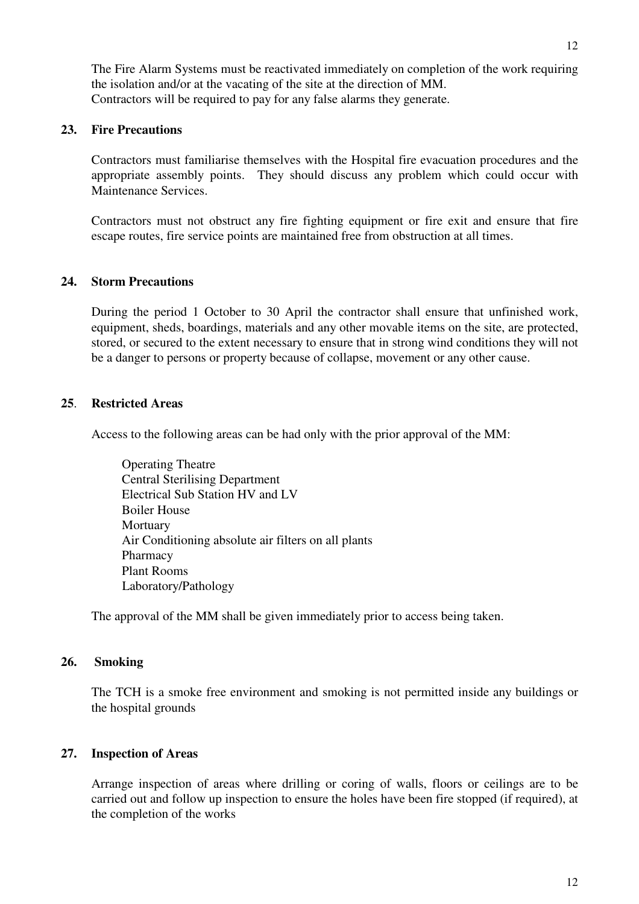The Fire Alarm Systems must be reactivated immediately on completion of the work requiring the isolation and/or at the vacating of the site at the direction of MM. Contractors will be required to pay for any false alarms they generate.

## **23. Fire Precautions**

 Contractors must familiarise themselves with the Hospital fire evacuation procedures and the appropriate assembly points. They should discuss any problem which could occur with Maintenance Services.

 Contractors must not obstruct any fire fighting equipment or fire exit and ensure that fire escape routes, fire service points are maintained free from obstruction at all times.

# **24. Storm Precautions**

 During the period 1 October to 30 April the contractor shall ensure that unfinished work, equipment, sheds, boardings, materials and any other movable items on the site, are protected, stored, or secured to the extent necessary to ensure that in strong wind conditions they will not be a danger to persons or property because of collapse, movement or any other cause.

# **25**. **Restricted Areas**

Access to the following areas can be had only with the prior approval of the MM:

 Operating Theatre Central Sterilising Department Electrical Sub Station HV and LV Boiler House **Mortuary**  Air Conditioning absolute air filters on all plants Pharmacy Plant Rooms Laboratory/Pathology

The approval of the MM shall be given immediately prior to access being taken.

# **26. Smoking**

 The TCH is a smoke free environment and smoking is not permitted inside any buildings or the hospital grounds

# **27. Inspection of Areas**

Arrange inspection of areas where drilling or coring of walls, floors or ceilings are to be carried out and follow up inspection to ensure the holes have been fire stopped (if required), at the completion of the works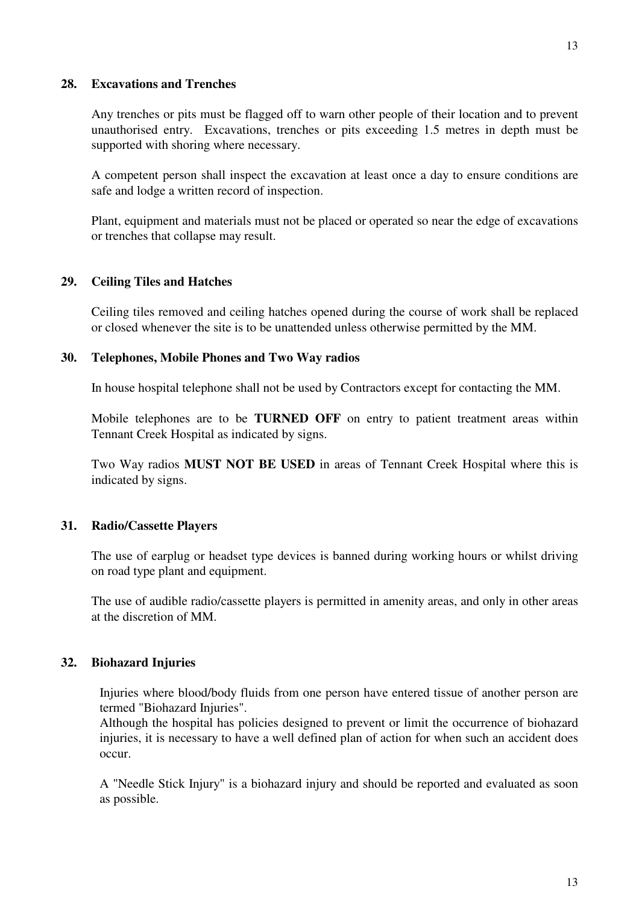#### **28. Excavations and Trenches**

 Any trenches or pits must be flagged off to warn other people of their location and to prevent unauthorised entry. Excavations, trenches or pits exceeding 1.5 metres in depth must be supported with shoring where necessary.

 A competent person shall inspect the excavation at least once a day to ensure conditions are safe and lodge a written record of inspection.

 Plant, equipment and materials must not be placed or operated so near the edge of excavations or trenches that collapse may result.

## **29. Ceiling Tiles and Hatches**

 Ceiling tiles removed and ceiling hatches opened during the course of work shall be replaced or closed whenever the site is to be unattended unless otherwise permitted by the MM.

#### **30. Telephones, Mobile Phones and Two Way radios**

In house hospital telephone shall not be used by Contractors except for contacting the MM.

 Mobile telephones are to be **TURNED OFF** on entry to patient treatment areas within Tennant Creek Hospital as indicated by signs.

 Two Way radios **MUST NOT BE USED** in areas of Tennant Creek Hospital where this is indicated by signs.

#### **31. Radio/Cassette Players**

The use of earplug or headset type devices is banned during working hours or whilst driving on road type plant and equipment.

 The use of audible radio/cassette players is permitted in amenity areas, and only in other areas at the discretion of MM.

#### **32. Biohazard Injuries**

Injuries where blood/body fluids from one person have entered tissue of another person are termed "Biohazard Injuries".

Although the hospital has policies designed to prevent or limit the occurrence of biohazard injuries, it is necessary to have a well defined plan of action for when such an accident does occur.

A "Needle Stick Injury" is a biohazard injury and should be reported and evaluated as soon as possible.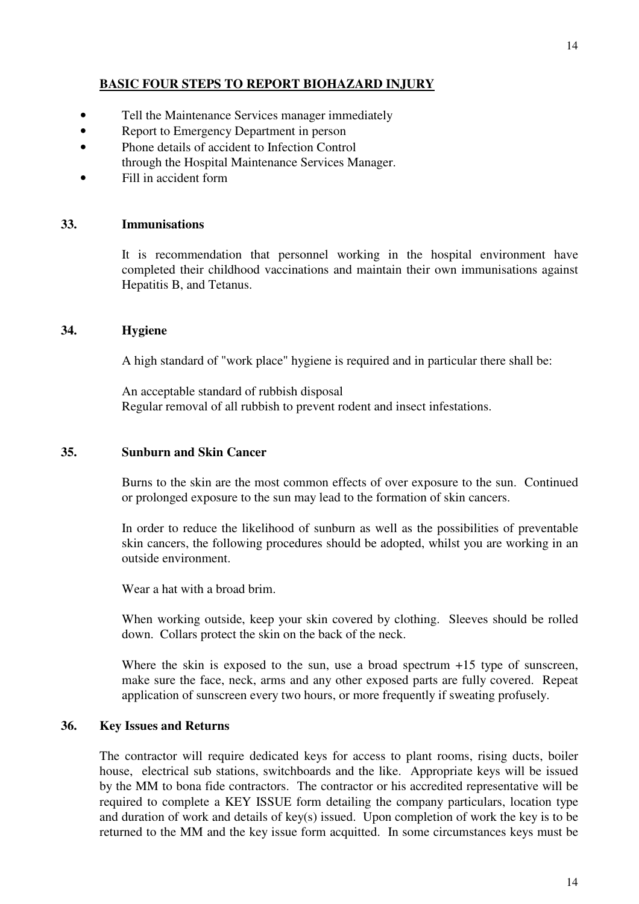# **BASIC FOUR STEPS TO REPORT BIOHAZARD INJURY**

- Tell the Maintenance Services manager immediately
- Report to Emergency Department in person
- Phone details of accident to Infection Control through the Hospital Maintenance Services Manager.
- Fill in accident form

#### **33. Immunisations**

It is recommendation that personnel working in the hospital environment have completed their childhood vaccinations and maintain their own immunisations against Hepatitis B, and Tetanus.

#### **34. Hygiene**

A high standard of "work place" hygiene is required and in particular there shall be:

 An acceptable standard of rubbish disposal Regular removal of all rubbish to prevent rodent and insect infestations.

#### **35. Sunburn and Skin Cancer**

 Burns to the skin are the most common effects of over exposure to the sun. Continued or prolonged exposure to the sun may lead to the formation of skin cancers.

 In order to reduce the likelihood of sunburn as well as the possibilities of preventable skin cancers, the following procedures should be adopted, whilst you are working in an outside environment.

Wear a hat with a broad brim.

 When working outside, keep your skin covered by clothing. Sleeves should be rolled down. Collars protect the skin on the back of the neck.

Where the skin is exposed to the sun, use a broad spectrum  $+15$  type of sunscreen, make sure the face, neck, arms and any other exposed parts are fully covered. Repeat application of sunscreen every two hours, or more frequently if sweating profusely.

#### **36. Key Issues and Returns**

The contractor will require dedicated keys for access to plant rooms, rising ducts, boiler house, electrical sub stations, switchboards and the like. Appropriate keys will be issued by the MM to bona fide contractors. The contractor or his accredited representative will be required to complete a KEY ISSUE form detailing the company particulars, location type and duration of work and details of key(s) issued. Upon completion of work the key is to be returned to the MM and the key issue form acquitted. In some circumstances keys must be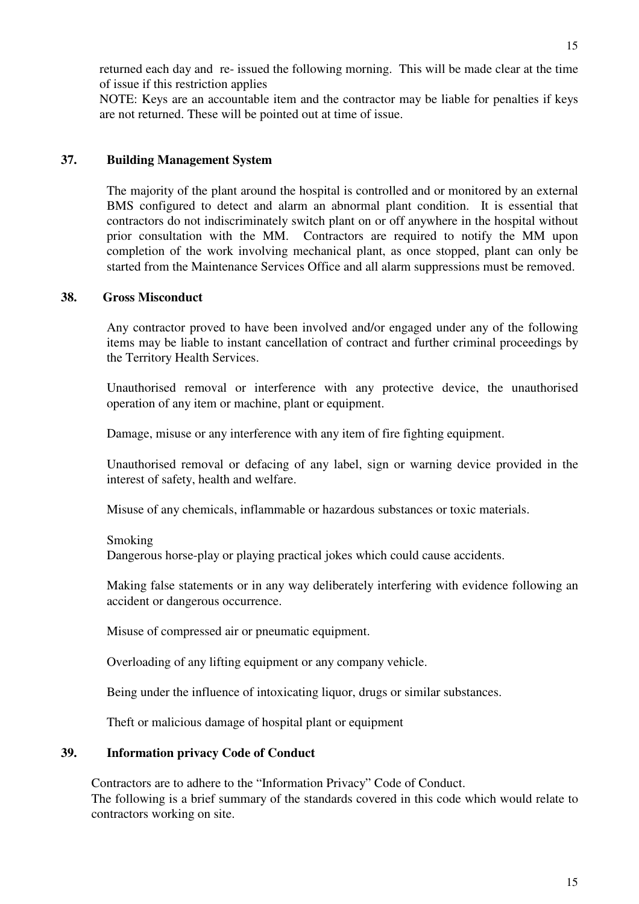returned each day and re- issued the following morning. This will be made clear at the time of issue if this restriction applies

NOTE: Keys are an accountable item and the contractor may be liable for penalties if keys are not returned. These will be pointed out at time of issue.

## **37. Building Management System**

The majority of the plant around the hospital is controlled and or monitored by an external BMS configured to detect and alarm an abnormal plant condition. It is essential that contractors do not indiscriminately switch plant on or off anywhere in the hospital without prior consultation with the MM. Contractors are required to notify the MM upon completion of the work involving mechanical plant, as once stopped, plant can only be started from the Maintenance Services Office and all alarm suppressions must be removed.

## **38. Gross Misconduct**

Any contractor proved to have been involved and/or engaged under any of the following items may be liable to instant cancellation of contract and further criminal proceedings by the Territory Health Services.

Unauthorised removal or interference with any protective device, the unauthorised operation of any item or machine, plant or equipment.

Damage, misuse or any interference with any item of fire fighting equipment.

 Unauthorised removal or defacing of any label, sign or warning device provided in the interest of safety, health and welfare.

Misuse of any chemicals, inflammable or hazardous substances or toxic materials.

Smoking

Dangerous horse-play or playing practical jokes which could cause accidents.

 Making false statements or in any way deliberately interfering with evidence following an accident or dangerous occurrence.

Misuse of compressed air or pneumatic equipment.

Overloading of any lifting equipment or any company vehicle.

Being under the influence of intoxicating liquor, drugs or similar substances.

Theft or malicious damage of hospital plant or equipment

#### **39. Information privacy Code of Conduct**

Contractors are to adhere to the "Information Privacy" Code of Conduct. The following is a brief summary of the standards covered in this code which would relate to contractors working on site.